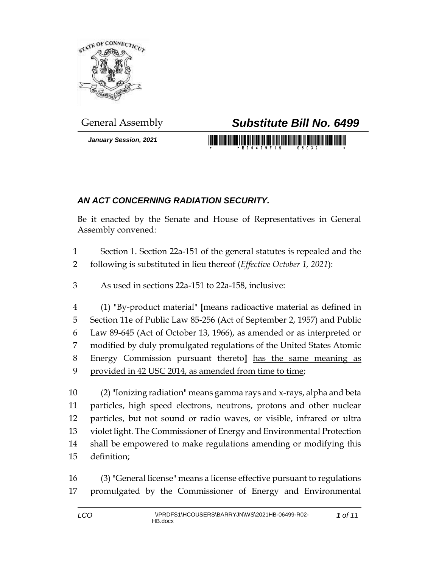

*January Session, 2021*

## General Assembly *Substitute Bill No. 6499*

<u> 1999 - Johann Maria Maria Maria Maria Maria Maria Maria Maria Maria Maria Maria Maria Maria Maria Maria Mari</u>

## *AN ACT CONCERNING RADIATION SECURITY.*

Be it enacted by the Senate and House of Representatives in General Assembly convened:

- Section 1. Section 22a-151 of the general statutes is repealed and the following is substituted in lieu thereof (*Effective October 1, 2021*):
- As used in sections 22a-151 to 22a-158, inclusive:

 (1) "By-product material" **[**means radioactive material as defined in Section 11e of Public Law 85-256 (Act of September 2, 1957) and Public Law 89-645 (Act of October 13, 1966), as amended or as interpreted or modified by duly promulgated regulations of the United States Atomic Energy Commission pursuant thereto**]** has the same meaning as provided in 42 USC 2014, as amended from time to time;

 (2)"Ionizing radiation" means gamma rays and x-rays, alpha and beta particles, high speed electrons, neutrons, protons and other nuclear particles, but not sound or radio waves, or visible, infrared or ultra violet light. The Commissioner of Energy and Environmental Protection shall be empowered to make regulations amending or modifying this definition;

 (3) "General license" means a license effective pursuant to regulations promulgated by the Commissioner of Energy and Environmental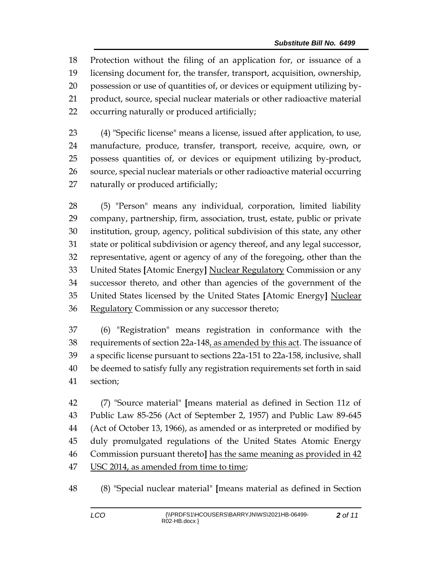Protection without the filing of an application for, or issuance of a licensing document for, the transfer, transport, acquisition, ownership, possession or use of quantities of, or devices or equipment utilizing by- product, source, special nuclear materials or other radioactive material occurring naturally or produced artificially;

 (4) "Specific license" means a license, issued after application, to use, manufacture, produce, transfer, transport, receive, acquire, own, or possess quantities of, or devices or equipment utilizing by-product, source, special nuclear materials or other radioactive material occurring naturally or produced artificially;

 (5) "Person" means any individual, corporation, limited liability company, partnership, firm, association, trust, estate, public or private institution, group, agency, political subdivision of this state, any other state or political subdivision or agency thereof, and any legal successor, representative, agent or agency of any of the foregoing, other than the United States **[**Atomic Energy**]** Nuclear Regulatory Commission or any successor thereto, and other than agencies of the government of the United States licensed by the United States **[**Atomic Energy**]** Nuclear Regulatory Commission or any successor thereto;

 (6) "Registration" means registration in conformance with the 38 requirements of section 22a-148, as amended by this act. The issuance of a specific license pursuant to sections 22a-151 to 22a-158, inclusive, shall be deemed to satisfy fully any registration requirements set forth in said section;

 (7) "Source material" **[**means material as defined in Section 11z of Public Law 85-256 (Act of September 2, 1957) and Public Law 89-645 (Act of October 13, 1966), as amended or as interpreted or modified by duly promulgated regulations of the United States Atomic Energy Commission pursuant thereto**]** has the same meaning as provided in 42 USC 2014, as amended from time to time;

(8) "Special nuclear material" **[**means material as defined in Section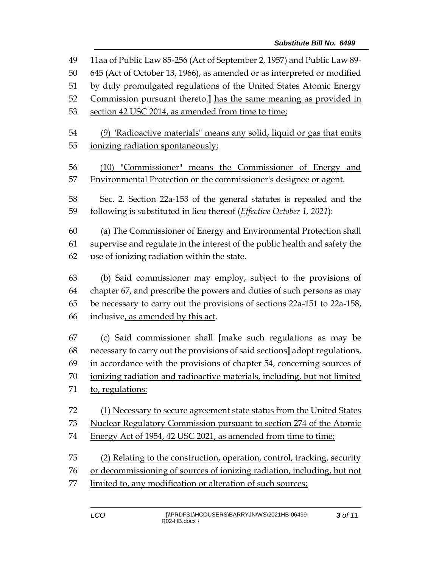11aa of Public Law 85-256 (Act of September 2, 1957) and Public Law 89- 645 (Act of October 13, 1966), as amended or as interpreted or modified by duly promulgated regulations of the United States Atomic Energy Commission pursuant thereto.**]** has the same meaning as provided in 53 section 42 USC 2014, as amended from time to time; (9) "Radioactive materials" means any solid, liquid or gas that emits ionizing radiation spontaneously; (10) "Commissioner" means the Commissioner of Energy and Environmental Protection or the commissioner's designee or agent. Sec. 2. Section 22a-153 of the general statutes is repealed and the following is substituted in lieu thereof (*Effective October 1, 2021*): (a) The Commissioner of Energy and Environmental Protection shall supervise and regulate in the interest of the public health and safety the use of ionizing radiation within the state. (b) Said commissioner may employ, subject to the provisions of chapter 67, and prescribe the powers and duties of such persons as may be necessary to carry out the provisions of sections 22a-151 to 22a-158, inclusive, as amended by this act. (c) Said commissioner shall **[**make such regulations as may be necessary to carry out the provisions of said sections**]** adopt regulations, in accordance with the provisions of chapter 54, concerning sources of ionizing radiation and radioactive materials, including, but not limited to, regulations: (1) Necessary to secure agreement state status from the United States Nuclear Regulatory Commission pursuant to section 274 of the Atomic 74 Energy Act of 1954, 42 USC 2021, as amended from time to time; (2) Relating to the construction, operation, control, tracking, security or decommissioning of sources of ionizing radiation, including, but not limited to, any modification or alteration of such sources;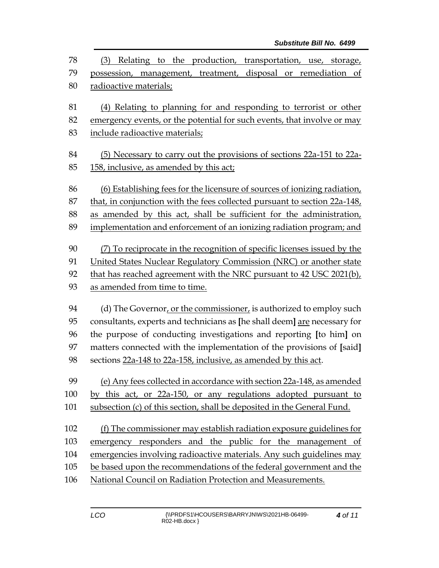| 78  | (3) Relating to the production, transportation, use, storage,             |  |  |
|-----|---------------------------------------------------------------------------|--|--|
| 79  | possession, management, treatment, disposal or remediation of             |  |  |
| 80  | radioactive materials;                                                    |  |  |
|     |                                                                           |  |  |
| 81  | (4) Relating to planning for and responding to terrorist or other         |  |  |
| 82  | emergency events, or the potential for such events, that involve or may   |  |  |
| 83  | include radioactive materials;                                            |  |  |
| 84  | (5) Necessary to carry out the provisions of sections 22a-151 to 22a-     |  |  |
| 85  | 158, inclusive, as amended by this act;                                   |  |  |
| 86  | (6) Establishing fees for the licensure of sources of ionizing radiation, |  |  |
| 87  | that, in conjunction with the fees collected pursuant to section 22a-148, |  |  |
| 88  | as amended by this act, shall be sufficient for the administration,       |  |  |
| 89  | implementation and enforcement of an ionizing radiation program; and      |  |  |
|     |                                                                           |  |  |
| 90  | (7) To reciprocate in the recognition of specific licenses issued by the  |  |  |
| 91  | United States Nuclear Regulatory Commission (NRC) or another state        |  |  |
| 92  | that has reached agreement with the NRC pursuant to 42 USC 2021(b),       |  |  |
| 93  | as amended from time to time.                                             |  |  |
| 94  | (d) The Governor, or the commissioner, is authorized to employ such       |  |  |
| 95  | consultants, experts and technicians as [he shall deem] are necessary for |  |  |
| 96  | the purpose of conducting investigations and reporting [to him] on        |  |  |
| 97  | matters connected with the implementation of the provisions of [said]     |  |  |
| 98  | sections 22a-148 to 22a-158, inclusive, as amended by this act.           |  |  |
|     |                                                                           |  |  |
| 99  | (e) Any fees collected in accordance with section 22a-148, as amended     |  |  |
| 100 | by this act, or 22a-150, or any regulations adopted pursuant to           |  |  |
| 101 | subsection (c) of this section, shall be deposited in the General Fund.   |  |  |
| 102 | (f) The commissioner may establish radiation exposure guidelines for      |  |  |
| 103 | emergency responders and the public for the management of                 |  |  |
| 104 | emergencies involving radioactive materials. Any such guidelines may      |  |  |
| 105 | be based upon the recommendations of the federal government and the       |  |  |
| 106 | National Council on Radiation Protection and Measurements.                |  |  |
|     |                                                                           |  |  |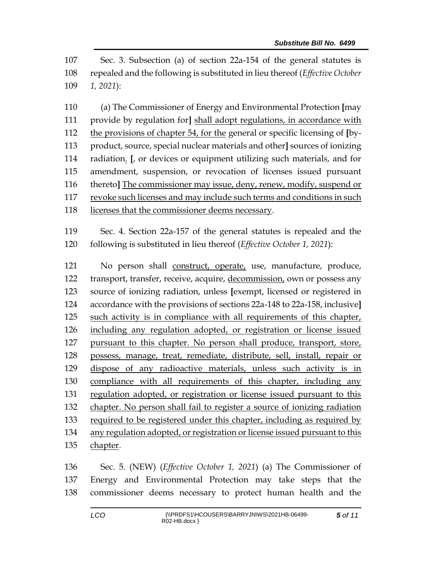Sec. 3. Subsection (a) of section 22a-154 of the general statutes is repealed and the following is substituted in lieu thereof (*Effective October 1, 2021*):

 (a) The Commissioner of Energy and Environmental Protection **[**may provide by regulation for**]** shall adopt regulations, in accordance with the provisions of chapter 54, for the general or specific licensing of **[**by- product, source, special nuclear materials and other**]** sources of ionizing radiation. **[**, or devices or equipment utilizing such materials, and for amendment, suspension, or revocation of licenses issued pursuant thereto**]** The commissioner may issue, deny, renew, modify, suspend or revoke such licenses and may include such terms and conditions in such licenses that the commissioner deems necessary.

 Sec. 4. Section 22a-157 of the general statutes is repealed and the following is substituted in lieu thereof (*Effective October 1, 2021*):

 No person shall construct, operate, use, manufacture, produce, transport, transfer, receive, acquire, decommission, own or possess any source of ionizing radiation, unless **[**exempt, licensed or registered in accordance with the provisions of sections 22a-148 to 22a-158, inclusive**]** such activity is in compliance with all requirements of this chapter, including any regulation adopted, or registration or license issued pursuant to this chapter. No person shall produce, transport, store, possess, manage, treat, remediate, distribute, sell, install, repair or dispose of any radioactive materials, unless such activity is in compliance with all requirements of this chapter, including any regulation adopted, or registration or license issued pursuant to this chapter. No person shall fail to register a source of ionizing radiation required to be registered under this chapter, including as required by 134 any regulation adopted, or registration or license issued pursuant to this 135 chapter.

 Sec. 5. (NEW) (*Effective October 1, 2021*) (a) The Commissioner of Energy and Environmental Protection may take steps that the commissioner deems necessary to protect human health and the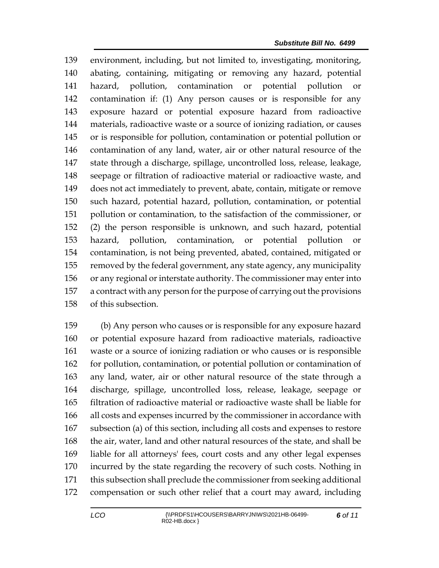environment, including, but not limited to, investigating, monitoring, abating, containing, mitigating or removing any hazard, potential hazard, pollution, contamination or potential pollution or contamination if: (1) Any person causes or is responsible for any exposure hazard or potential exposure hazard from radioactive materials, radioactive waste or a source of ionizing radiation, or causes or is responsible for pollution, contamination or potential pollution or contamination of any land, water, air or other natural resource of the state through a discharge, spillage, uncontrolled loss, release, leakage, seepage or filtration of radioactive material or radioactive waste, and does not act immediately to prevent, abate, contain, mitigate or remove such hazard, potential hazard, pollution, contamination, or potential pollution or contamination, to the satisfaction of the commissioner, or (2) the person responsible is unknown, and such hazard, potential hazard, pollution, contamination, or potential pollution or contamination, is not being prevented, abated, contained, mitigated or removed by the federal government, any state agency, any municipality or any regional or interstate authority. The commissioner may enter into a contract with any person for the purpose of carrying out the provisions of this subsection.

 (b) Any person who causes or is responsible for any exposure hazard or potential exposure hazard from radioactive materials, radioactive waste or a source of ionizing radiation or who causes or is responsible for pollution, contamination, or potential pollution or contamination of any land, water, air or other natural resource of the state through a discharge, spillage, uncontrolled loss, release, leakage, seepage or filtration of radioactive material or radioactive waste shall be liable for all costs and expenses incurred by the commissioner in accordance with subsection (a) of this section, including all costs and expenses to restore the air, water, land and other natural resources of the state, and shall be liable for all attorneys' fees, court costs and any other legal expenses incurred by the state regarding the recovery of such costs. Nothing in this subsection shall preclude the commissioner from seeking additional compensation or such other relief that a court may award, including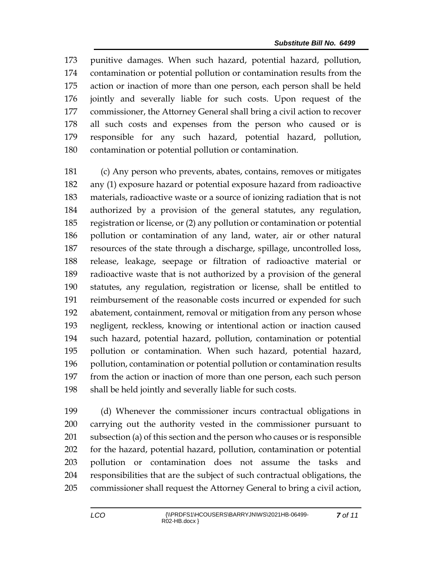punitive damages. When such hazard, potential hazard, pollution, contamination or potential pollution or contamination results from the action or inaction of more than one person, each person shall be held jointly and severally liable for such costs. Upon request of the commissioner, the Attorney General shall bring a civil action to recover all such costs and expenses from the person who caused or is responsible for any such hazard, potential hazard, pollution, contamination or potential pollution or contamination.

 (c) Any person who prevents, abates, contains, removes or mitigates any (1) exposure hazard or potential exposure hazard from radioactive materials, radioactive waste or a source of ionizing radiation that is not authorized by a provision of the general statutes, any regulation, registration or license, or (2) any pollution or contamination or potential pollution or contamination of any land, water, air or other natural resources of the state through a discharge, spillage, uncontrolled loss, release, leakage, seepage or filtration of radioactive material or radioactive waste that is not authorized by a provision of the general statutes, any regulation, registration or license, shall be entitled to reimbursement of the reasonable costs incurred or expended for such abatement, containment, removal or mitigation from any person whose negligent, reckless, knowing or intentional action or inaction caused such hazard, potential hazard, pollution, contamination or potential pollution or contamination. When such hazard, potential hazard, pollution, contamination or potential pollution or contamination results from the action or inaction of more than one person, each such person shall be held jointly and severally liable for such costs.

 (d) Whenever the commissioner incurs contractual obligations in carrying out the authority vested in the commissioner pursuant to subsection (a) of this section and the person who causes or is responsible for the hazard, potential hazard, pollution, contamination or potential pollution or contamination does not assume the tasks and responsibilities that are the subject of such contractual obligations, the commissioner shall request the Attorney General to bring a civil action,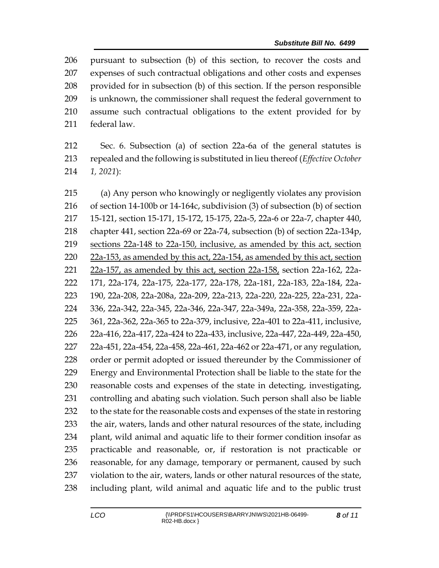pursuant to subsection (b) of this section, to recover the costs and expenses of such contractual obligations and other costs and expenses provided for in subsection (b) of this section. If the person responsible is unknown, the commissioner shall request the federal government to assume such contractual obligations to the extent provided for by federal law.

 Sec. 6. Subsection (a) of section 22a-6a of the general statutes is repealed and the following is substituted in lieu thereof (*Effective October 1, 2021*):

 (a) Any person who knowingly or negligently violates any provision of section 14-100b or 14-164c, subdivision (3) of subsection (b) of section 15-121, section 15-171, 15-172, 15-175, 22a-5, 22a-6 or 22a-7, chapter 440, chapter 441, section 22a-69 or 22a-74, subsection (b) of section 22a-134p, sections 22a-148 to 22a-150, inclusive, as amended by this act, section 22a-153, as amended by this act, 22a-154, as amended by this act, section 22a-157, as amended by this act, section 22a-158, section 22a-162, 22a- 171, 22a-174, 22a-175, 22a-177, 22a-178, 22a-181, 22a-183, 22a-184, 22a- 190, 22a-208, 22a-208a, 22a-209, 22a-213, 22a-220, 22a-225, 22a-231, 22a- 336, 22a-342, 22a-345, 22a-346, 22a-347, 22a-349a, 22a-358, 22a-359, 22a- 361, 22a-362, 22a-365 to 22a-379, inclusive, 22a-401 to 22a-411, inclusive, 22a-416, 22a-417, 22a-424 to 22a-433, inclusive, 22a-447, 22a-449, 22a-450, 22a-451, 22a-454, 22a-458, 22a-461, 22a-462 or 22a-471, or any regulation, order or permit adopted or issued thereunder by the Commissioner of Energy and Environmental Protection shall be liable to the state for the reasonable costs and expenses of the state in detecting, investigating, controlling and abating such violation. Such person shall also be liable to the state for the reasonable costs and expenses of the state in restoring the air, waters, lands and other natural resources of the state, including plant, wild animal and aquatic life to their former condition insofar as practicable and reasonable, or, if restoration is not practicable or reasonable, for any damage, temporary or permanent, caused by such violation to the air, waters, lands or other natural resources of the state, including plant, wild animal and aquatic life and to the public trust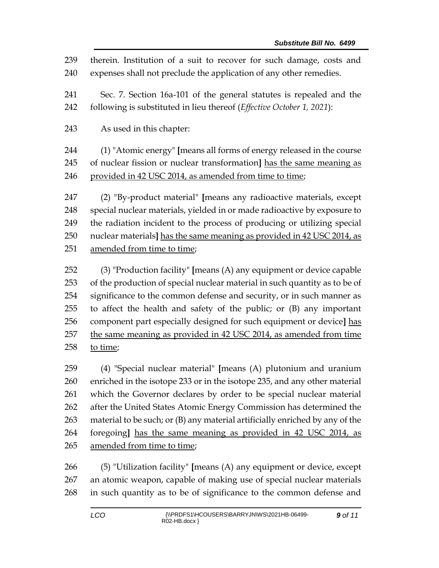therein. Institution of a suit to recover for such damage, costs and expenses shall not preclude the application of any other remedies.

 Sec. 7. Section 16a-101 of the general statutes is repealed and the following is substituted in lieu thereof (*Effective October 1, 2021*):

As used in this chapter:

 (1) "Atomic energy" **[**means all forms of energy released in the course of nuclear fission or nuclear transformation**]** has the same meaning as provided in 42 USC 2014, as amended from time to time;

 (2) "By-product material" **[**means any radioactive materials, except special nuclear materials, yielded in or made radioactive by exposure to the radiation incident to the process of producing or utilizing special nuclear materials**]** has the same meaning as provided in 42 USC 2014, as amended from time to time;

 (3) "Production facility" **[**means (A) any equipment or device capable of the production of special nuclear material in such quantity as to be of 254 significance to the common defense and security, or in such manner as to affect the health and safety of the public; or (B) any important component part especially designed for such equipment or device**]** has the same meaning as provided in 42 USC 2014, as amended from time to time;

 (4) "Special nuclear material" **[**means (A) plutonium and uranium enriched in the isotope 233 or in the isotope 235, and any other material which the Governor declares by order to be special nuclear material after the United States Atomic Energy Commission has determined the material to be such; or (B) any material artificially enriched by any of the foregoing**]** has the same meaning as provided in 42 USC 2014, as amended from time to time;

 (5) "Utilization facility" **[**means (A) any equipment or device, except an atomic weapon, capable of making use of special nuclear materials in such quantity as to be of significance to the common defense and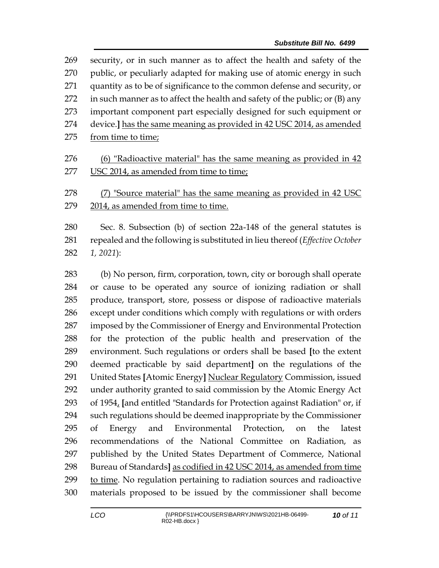security, or in such manner as to affect the health and safety of the public, or peculiarly adapted for making use of atomic energy in such quantity as to be of significance to the common defense and security, or in such manner as to affect the health and safety of the public; or (B) any important component part especially designed for such equipment or device.**]** has the same meaning as provided in 42 USC 2014, as amended 275 from time to time; (6) "Radioactive material" has the same meaning as provided in 42 USC 2014, as amended from time to time;

 (7) "Source material" has the same meaning as provided in 42 USC 2014, as amended from time to time.

 Sec. 8. Subsection (b) of section 22a-148 of the general statutes is repealed and the following is substituted in lieu thereof (*Effective October 1, 2021*):

 (b) No person, firm, corporation, town, city or borough shall operate or cause to be operated any source of ionizing radiation or shall produce, transport, store, possess or dispose of radioactive materials except under conditions which comply with regulations or with orders imposed by the Commissioner of Energy and Environmental Protection for the protection of the public health and preservation of the environment. Such regulations or orders shall be based **[**to the extent deemed practicable by said department**]** on the regulations of the United States **[**Atomic Energy**]** Nuclear Regulatory Commission, issued under authority granted to said commission by the Atomic Energy Act of 1954, **[**and entitled "Standards for Protection against Radiation" or, if such regulations should be deemed inappropriate by the Commissioner of Energy and Environmental Protection, on the latest recommendations of the National Committee on Radiation, as published by the United States Department of Commerce, National Bureau of Standards**]** as codified in 42 USC 2014, as amended from time 299 to time. No regulation pertaining to radiation sources and radioactive materials proposed to be issued by the commissioner shall become